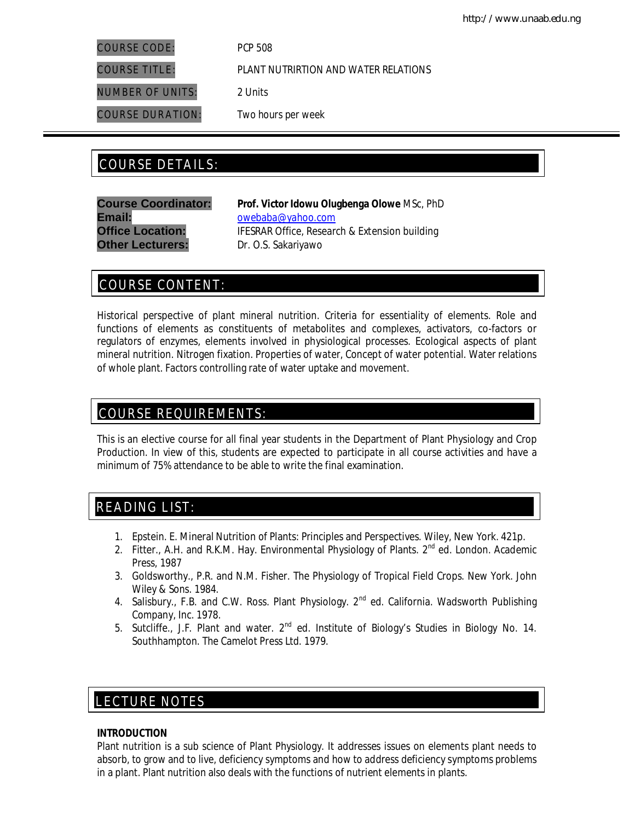COURSE CODE: *PCP 508*

NUMBER OF UNITS: *2 Units*

COURSE DURATION: *Two hours per week*

COURSE TITLE: *PLANT NUTRIRTION AND WATER RELATIONS*

# COURSE DETAILS: COURSE DETAILS:

**Email:** owebaba@yahoo.com **Other Lecturers:** Dr. O.S. Sakariyawo

**Course Coordinator: Prof. Victor Idowu Olugbenga Olowe** *MSc, PhD* **Office Location:** IFESRAR Office, Research & Extension building

# COURSE CONTENT:

Historical perspective of plant mineral nutrition. Criteria for essentiality of elements. Role and functions of elements as constituents of metabolites and complexes, activators, co-factors or regulators of enzymes, elements involved in physiological processes. Ecological aspects of plant mineral nutrition. Nitrogen fixation. Properties of water, Concept of water potential. Water relations of whole plant. Factors controlling rate of water uptake and movement.

# COURSE REQUIREMENTS:

This is an elective course for all final year students in the Department of Plant Physiology and Crop Production. In view of this, students are expected to participate in all course activities and have a minimum of 75% attendance to be able to write the final examination.

# READING LIST:

- 1. Epstein. E. Mineral Nutrition of Plants: Principles and Perspectives. Wiley, New York. 421p.
- 2. Fitter., A.H. and R.K.M. Hay. Environmental Physiology of Plants. 2<sup>nd</sup> ed. London. Academic Press, 1987
- 3. Goldsworthy., P.R. and N.M. Fisher. The Physiology of Tropical Field Crops. New York. John Wiley & Sons. 1984.
- 4. Salisbury., F.B. and C.W. Ross. Plant Physiology. 2<sup>nd</sup> ed. California. Wadsworth Publishing Company, Inc. 1978.
- 5. Sutcliffe., J.F. Plant and water. 2<sup>nd</sup> ed. Institute of Biology's Studies in Biology No. 14. Southhampton. The Camelot Press Ltd. 1979.

# E LECTURE NOTES

# **INTRODUCTION**

Plant nutrition is a sub science of Plant Physiology. It addresses issues on elements plant needs to absorb, to grow and to live, deficiency symptoms and how to address deficiency symptoms problems in a plant. Plant nutrition also deals with the functions of nutrient elements in plants.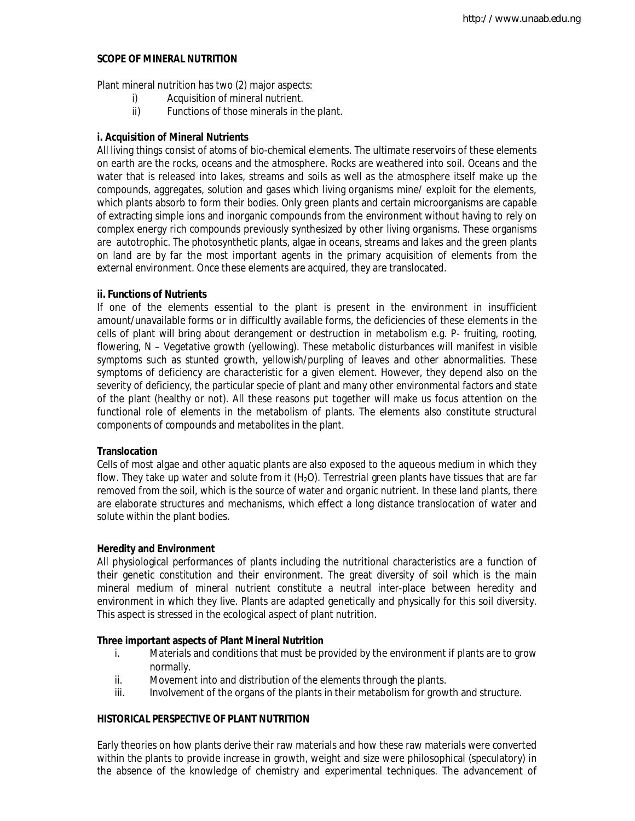## **SCOPE OF MINERAL NUTRITION**

Plant mineral nutrition has two (2) major aspects:

- i) Acquisition of mineral nutrient.
- ii) Functions of those minerals in the plant.

#### **i. Acquisition of Mineral Nutrients**

All living things consist of atoms of bio-chemical elements. The ultimate reservoirs of these elements on earth are the rocks, oceans and the atmosphere. Rocks are weathered into soil. Oceans and the water that is released into lakes, streams and soils as well as the atmosphere itself make up the compounds, aggregates, solution and gases which living organisms mine/ exploit for the elements, which plants absorb to form their bodies. Only green plants and certain microorganisms are capable of extracting simple ions and inorganic compounds from the environment without having to rely on complex energy rich compounds previously synthesized by other living organisms. These organisms are autotrophic. The photosynthetic plants, algae in oceans, streams and lakes and the green plants on land are by far the most important agents in the primary acquisition of elements from the external environment. Once these elements are acquired, they are translocated.

#### **ii. Functions of Nutrients**

If one of the elements essential to the plant is present in the environment in insufficient amount/unavailable forms or in difficultly available forms, the deficiencies of these elements in the cells of plant will bring about derangement or destruction in metabolism e.g. P- fruiting, rooting, flowering, N – Vegetative growth (yellowing). These metabolic disturbances will manifest in visible symptoms such as stunted growth, yellowish/purpling of leaves and other abnormalities. These symptoms of deficiency are characteristic for a given element. However, they depend also on the severity of deficiency, the particular specie of plant and many other environmental factors and state of the plant (healthy or not). All these reasons put together will make us focus attention on the functional role of elements in the metabolism of plants. The elements also constitute structural components of compounds and metabolites in the plant.

#### **Translocation**

Cells of most algae and other aquatic plants are also exposed to the aqueous medium in which they flow. They take up water and solute from it  $(H<sub>2</sub>O)$ . Terrestrial green plants have tissues that are far removed from the soil, which is the source of water and organic nutrient. In these land plants, there are elaborate structures and mechanisms, which effect a long distance translocation of water and solute within the plant bodies.

#### **Heredity and Environment**

All physiological performances of plants including the nutritional characteristics are a function of their genetic constitution and their environment. The great diversity of soil which is the main mineral medium of mineral nutrient constitute a neutral inter-place between heredity and environment in which they live. Plants are adapted genetically and physically for this soil diversity. This aspect is stressed in the ecological aspect of plant nutrition.

### **Three important aspects of Plant Mineral Nutrition**

- i. Materials and conditions that must be provided by the environment if plants are to grow normally.
- ii. Movement into and distribution of the elements through the plants.
- iii. Involvement of the organs of the plants in their metabolism for growth and structure.

# **HISTORICAL PERSPECTIVE OF PLANT NUTRITION**

Early theories on how plants derive their raw materials and how these raw materials were converted within the plants to provide increase in growth, weight and size were philosophical (speculatory) in the absence of the knowledge of chemistry and experimental techniques. The advancement of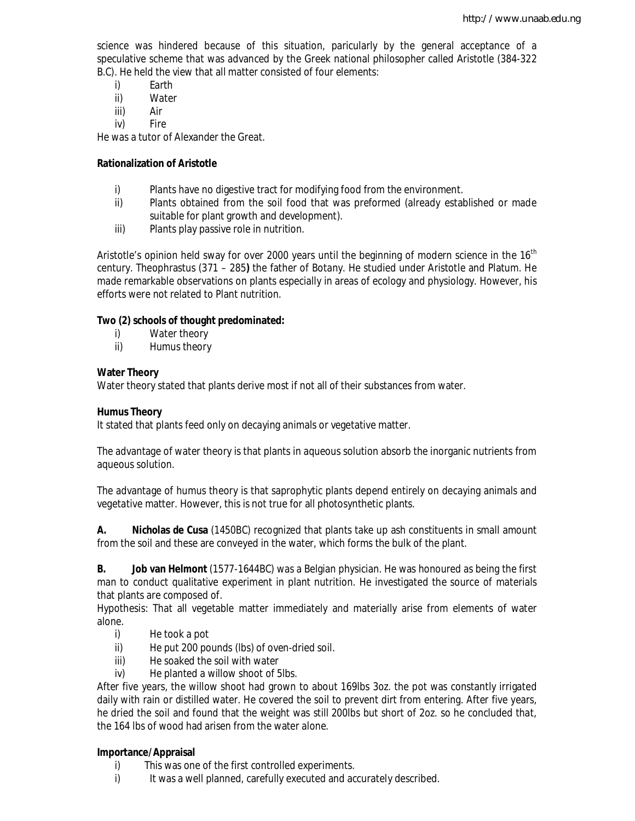science was hindered because of this situation, paricularly by the general acceptance of a speculative scheme that was advanced by the Greek national philosopher called Aristotle (384-322 B.C). He held the view that all matter consisted of four elements:

- i) Earth<br>ii) Water
- Water
- iii) Air
- iv) Fire

He was a tutor of Alexander the Great.

# **Rationalization of Aristotle**

- i) Plants have no digestive tract for modifying food from the environment.
- ii) Plants obtained from the soil food that was preformed (already established or made suitable for plant growth and development).
- iii) Plants play passive role in nutrition.

Aristotle's opinion held sway for over 2000 years until the beginning of modern science in the 16<sup>th</sup> century. Theophrastus (371 – 285**)** the father of Botany. He studied under Aristotle and Platum. He made remarkable observations on plants especially in areas of ecology and physiology. However, his efforts were not related to Plant nutrition.

# **Two (2) schools of thought predominated:**

- i) Water theory
- ii) Humus theory

# **Water Theory**

Water theory stated that plants derive most if not all of their substances from water.

# **Humus Theory**

It stated that plants feed only on decaying animals or vegetative matter.

The advantage of water theory is that plants in aqueous solution absorb the inorganic nutrients from aqueous solution.

The advantage of humus theory is that saprophytic plants depend entirely on decaying animals and vegetative matter. However, this is not true for all photosynthetic plants.

**A. Nicholas de Cusa** (1450BC) recognized that plants take up ash constituents in small amount from the soil and these are conveyed in the water, which forms the bulk of the plant.

**B. Job van Helmont** (1577-1644BC) was a Belgian physician. He was honoured as being the first man to conduct qualitative experiment in plant nutrition. He investigated the source of materials that plants are composed of.

Hypothesis: That all vegetable matter immediately and materially arise from elements of water alone.

- i) He took a pot
- ii) He put 200 pounds (lbs) of oven-dried soil.
- iii) He soaked the soil with water
- iv) He planted a willow shoot of 5lbs.

After five years, the willow shoot had grown to about 169lbs 3oz. the pot was constantly irrigated daily with rain or distilled water. He covered the soil to prevent dirt from entering. After five years, he dried the soil and found that the weight was still 200lbs but short of 2oz. so he concluded that, the 164 lbs of wood had arisen from the water alone.

# **Importance/Appraisal**

- i) This was one of the first controlled experiments.
- i) It was a well planned, carefully executed and accurately described.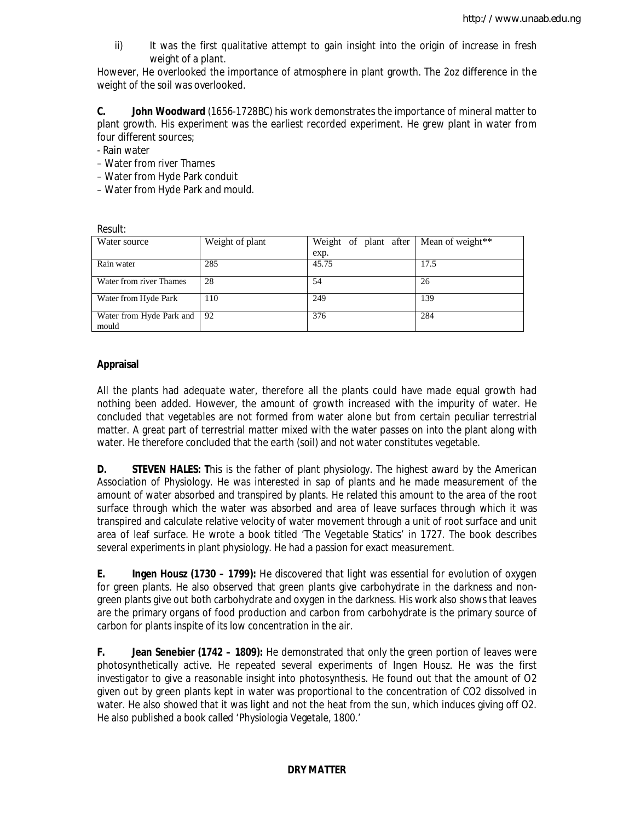ii) It was the first qualitative attempt to gain insight into the origin of increase in fresh weight of a plant.

However, He overlooked the importance of atmosphere in plant growth. The 2oz difference in the weight of the soil was overlooked.

**C. John Woodward** (1656-1728BC) his work demonstrates the importance of mineral matter to plant growth. His experiment was the earliest recorded experiment. He grew plant in water from four different sources;

- Rain water

*Result:*

– Water from river Thames

– Water from Hyde Park conduit

– Water from Hyde Park and mould.

| RESUIL.                           |                 |                       |                  |  |
|-----------------------------------|-----------------|-----------------------|------------------|--|
| Water source                      | Weight of plant | Weight of plant after | Mean of weight** |  |
|                                   |                 | exp.                  |                  |  |
| Rain water                        | 285             | 45.75                 | 17.5             |  |
| Water from river Thames           | 28              | 54                    | 26               |  |
| Water from Hyde Park              | 110             | 249                   | 139              |  |
| Water from Hyde Park and<br>mould | 92              | 376                   | 284              |  |

## **Appraisal**

All the plants had adequate water, therefore all the plants could have made equal growth had nothing been added. However, the amount of growth increased with the impurity of water. He concluded that vegetables are not formed from water alone but from certain peculiar terrestrial matter. A great part of terrestrial matter mixed with the water passes on into the plant along with water. He therefore concluded that the earth (soil) and not water constitutes vegetable.

**D. STEVEN HALES:** This is the father of plant physiology. The highest award by the American Association of Physiology. He was interested in sap of plants and he made measurement of the amount of water absorbed and transpired by plants. He related this amount to the area of the root surface through which the water was absorbed and area of leave surfaces through which it was transpired and calculate relative velocity of water movement through a unit of root surface and unit area of leaf surface. He wrote a book titled 'The Vegetable Statics' in 1727. The book describes several experiments in plant physiology. He had a passion for exact measurement.

**E. Ingen Housz (1730 – 1799):** He discovered that light was essential for evolution of oxygen for green plants. He also observed that green plants give carbohydrate in the darkness and nongreen plants give out both carbohydrate and oxygen in the darkness. His work also shows that leaves are the primary organs of food production and carbon from carbohydrate is the primary source of carbon for plants inspite of its low concentration in the air.

**F. Jean Senebier (1742 – 1809):** He demonstrated that only the green portion of leaves were photosynthetically active. He repeated several experiments of Ingen Housz. He was the first investigator to give a reasonable insight into photosynthesis. He found out that the amount of O2 given out by green plants kept in water was proportional to the concentration of CO2 dissolved in water. He also showed that it was light and not the heat from the sun, which induces giving off O2. He also published a book called 'Physiologia Vegetale, 1800.'

### **DRY MATTER**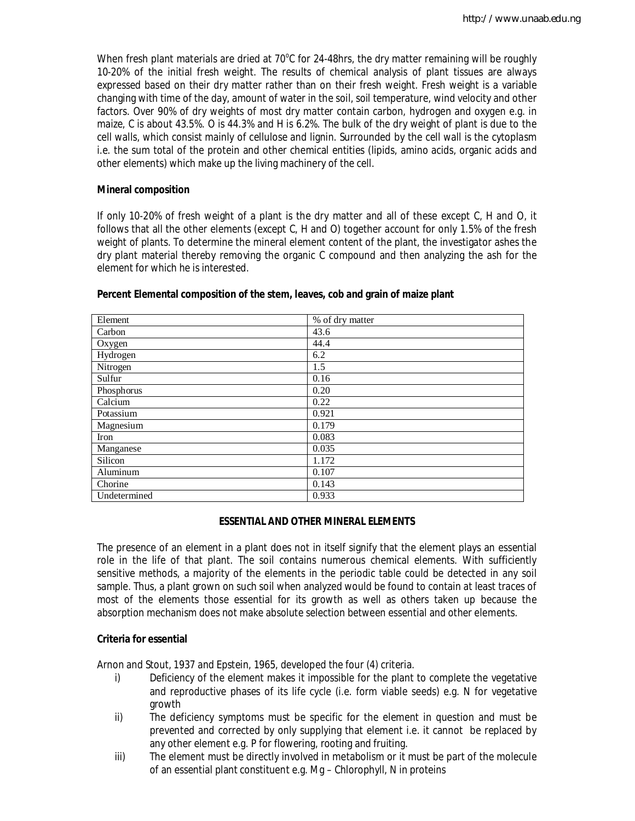When fresh plant materials are dried at  $70^{\circ}$ C for 24-48hrs, the dry matter remaining will be roughly 10-20% of the initial fresh weight. The results of chemical analysis of plant tissues are always expressed based on their dry matter rather than on their fresh weight. Fresh weight is a variable changing with time of the day, amount of water in the soil, soil temperature, wind velocity and other factors. Over 90% of dry weights of most dry matter contain carbon, hydrogen and oxygen e.g. in maize, C is about 43.5%. O is 44.3% and H is 6.2%. The bulk of the dry weight of plant is due to the cell walls, which consist mainly of cellulose and lignin. Surrounded by the cell wall is the cytoplasm i.e. the sum total of the protein and other chemical entities (lipids, amino acids, organic acids and other elements) which make up the living machinery of the cell.

#### **Mineral composition**

If only 10-20% of fresh weight of a plant is the dry matter and all of these except C, H and O, it follows that all the other elements (except C, H and O) together account for only 1.5% of the fresh weight of plants. To determine the mineral element content of the plant, the investigator ashes the dry plant material thereby removing the organic C compound and then analyzing the ash for the element for which he is interested.

| Element      | % of dry matter |
|--------------|-----------------|
| Carbon       | 43.6            |
| Oxygen       | 44.4            |
| Hydrogen     | 6.2             |
| Nitrogen     | 1.5             |
| Sulfur       | 0.16            |
| Phosphorus   | 0.20            |
| Calcium      | 0.22            |
| Potassium    | 0.921           |
| Magnesium    | 0.179           |
| Iron         | 0.083           |
| Manganese    | 0.035           |
| Silicon      | 1.172           |
| Aluminum     | 0.107           |
| Chorine      | 0.143           |
| Undetermined | 0.933           |

#### **Percent Elemental composition of the stem, leaves, cob and grain of maize plant**

### **ESSENTIAL AND OTHER MINERAL ELEMENTS**

The presence of an element in a plant does not in itself signify that the element plays an essential role in the life of that plant. The soil contains numerous chemical elements. With sufficiently sensitive methods, a majority of the elements in the periodic table could be detected in any soil sample. Thus, a plant grown on such soil when analyzed would be found to contain at least traces of most of the elements those essential for its growth as well as others taken up because the absorption mechanism does not make absolute selection between essential and other elements.

### **Criteria for essential**

Arnon and Stout, 1937 and Epstein, 1965, developed the four (4) criteria.

- i) Deficiency of the element makes it impossible for the plant to complete the vegetative and reproductive phases of its life cycle (i.e. form viable seeds) e.g. N for vegetative growth
- ii) The deficiency symptoms must be specific for the element in question and must be prevented and corrected by only supplying that element i.e. it cannot be replaced by any other element e.g. P for flowering, rooting and fruiting.
- iii) The element must be directly involved in metabolism or it must be part of the molecule of an essential plant constituent e.g. Mg – Chlorophyll, N in proteins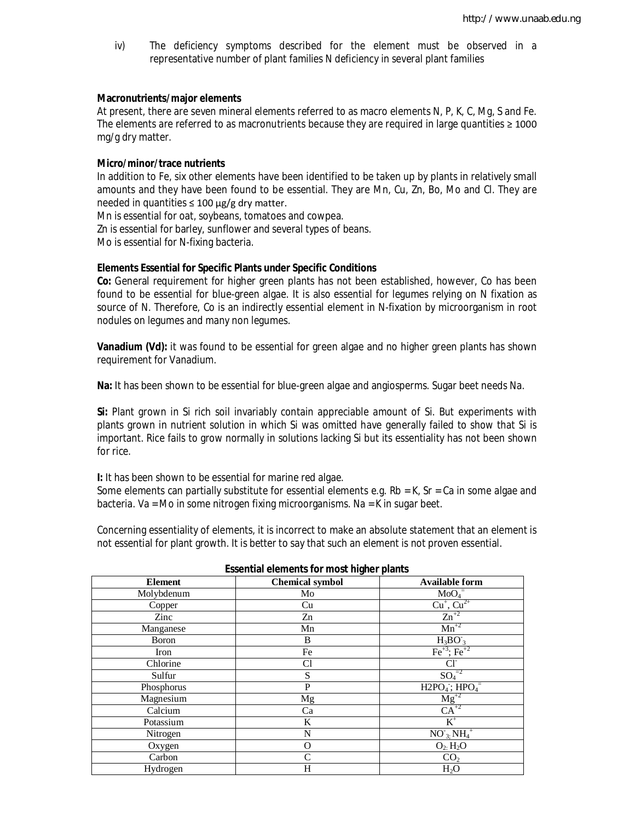iv) The deficiency symptoms described for the element must be observed in a representative number of plant families N deficiency in several plant families

#### **Macronutrients/major elements**

At present, there are seven mineral elements referred to as macro elements N, P, K, C, Mg, S and Fe. The elements are referred to as macronutrients because they are required in large quantities ≥ 1000 mg/g dry matter.

#### **Micro/minor/trace nutrients**

In addition to Fe, six other elements have been identified to be taken up by plants in relatively small amounts and they have been found to be essential. They are Mn, Cu, Zn, Bo, Mo and Cl. They are needed in quantities  $\leq 100 \mu g/g$  dry matter.

Mn is essential for oat, soybeans, tomatoes and cowpea.

Zn is essential for barley, sunflower and several types of beans.

Mo is essential for N-fixing bacteria.

#### **Elements Essential for Specific Plants under Specific Conditions**

**Co:** General requirement for higher green plants has not been established, however, Co has been found to be essential for blue-green algae. It is also essential for legumes relying on N fixation as source of N. Therefore, Co is an indirectly essential element in N-fixation by microorganism in root nodules on legumes and many non legumes.

**Vanadium (Vd):** it was found to be essential for green algae and no higher green plants has shown requirement for Vanadium.

**Na:** It has been shown to be essential for blue-green algae and angiosperms. Sugar beet needs Na.

**Si:** Plant grown in Si rich soil invariably contain appreciable amount of Si. But experiments with plants grown in nutrient solution in which Si was omitted have generally failed to show that Si is important. Rice fails to grow normally in solutions lacking Si but its essentiality has not been shown for rice.

**I:** It has been shown to be essential for marine red algae.

Some elements can partially substitute for essential elements e.g.  $Rb = K$ ,  $Sr = Ca$  in some algae and bacteria. Va = Mo in some nitrogen fixing microorganisms. Na = K in sugar beet.

Concerning essentiality of elements, it is incorrect to make an absolute statement that an element is not essential for plant growth. It is better to say that such an element is not proven essential.

| ssonaa olomonto ror moot mgnor planto |                        |                                                                            |  |
|---------------------------------------|------------------------|----------------------------------------------------------------------------|--|
| <b>Element</b>                        | <b>Chemical symbol</b> | <b>Available form</b>                                                      |  |
| Molybdenum                            | Mo                     | $MoO4$ <sup>=</sup>                                                        |  |
| Copper                                | Cu                     | $\frac{\overline{\text{Cu}^+}, \overline{\text{Cu}^{2+}}}{\text{Zn}^{+2}}$ |  |
| Zinc                                  | Zn                     |                                                                            |  |
| Manganese                             | Mn                     | $Mn^{2}$                                                                   |  |
| <b>Boron</b>                          | B                      | $H_3BO_3$                                                                  |  |
| Iron                                  | Fe                     | $Fe^{+3}$ ; $Fe^{+2}$                                                      |  |
| Chlorine                              | C1                     | CI <sup>-</sup>                                                            |  |
| Sulfur                                | S                      | $SO_4^{-2}$                                                                |  |
| Phosphorus                            | P                      | $H2PO4$ ; $HPO4$ <sup>=</sup>                                              |  |
| Magnesium                             | Mg                     | $\frac{Mg^{+2}}{CA^{+2}}$                                                  |  |
| Calcium                               | Ca                     |                                                                            |  |
| Potassium                             | K                      | $K^+$                                                                      |  |
| Nitrogen                              | N                      | $NO_{3;}NH_{4}^{+}$                                                        |  |
| Oxygen                                | O                      | $O_{2:}H_{2}O$                                                             |  |
| Carbon                                | C                      | CO <sub>2</sub>                                                            |  |
| Hydrogen                              | H                      | H <sub>2</sub> O                                                           |  |

|  | <b>Essential elements for most higher plants</b> |  |  |  |
|--|--------------------------------------------------|--|--|--|
|--|--------------------------------------------------|--|--|--|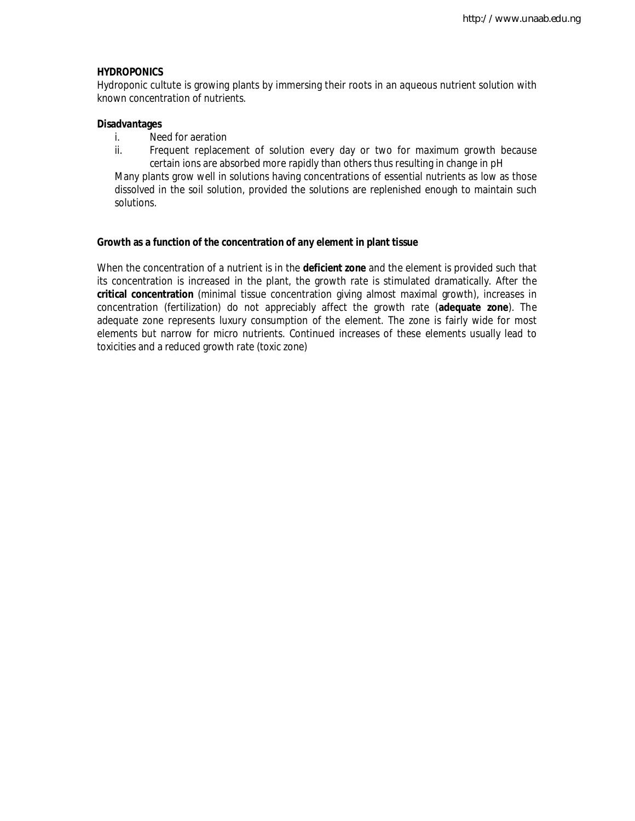#### **HYDROPONICS**

Hydroponic cultute is growing plants by immersing their roots in an aqueous nutrient solution with known concentration of nutrients.

#### **Disadvantages**

- i. Need for aeration
- ii. Frequent replacement of solution every day or two for maximum growth because certain ions are absorbed more rapidly than others thus resulting in change in pH

Many plants grow well in solutions having concentrations of essential nutrients as low as those dissolved in the soil solution, provided the solutions are replenished enough to maintain such solutions.

#### **Growth as a function of the concentration of any element in plant tissue**

When the concentration of a nutrient is in the **deficient zone** and the element is provided such that its concentration is increased in the plant, the growth rate is stimulated dramatically. After the **critical concentration** (minimal tissue concentration giving almost maximal growth), increases in concentration (fertilization) do not appreciably affect the growth rate (**adequate zone**). The adequate zone represents luxury consumption of the element. The zone is fairly wide for most elements but narrow for micro nutrients. Continued increases of these elements usually lead to toxicities and a reduced growth rate (toxic zone)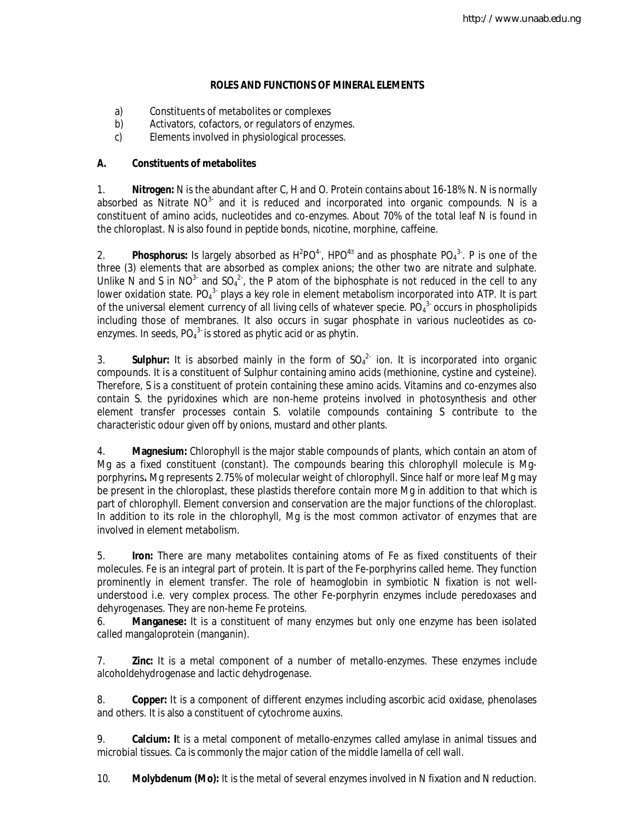# **ROLES AND FUNCTIONS OF MINERAL ELEMENTS**

- a) Constituents of metabolites or complexes
- b) Activators, cofactors, or regulators of enzymes.
- c) Elements involved in physiological processes.

# **A. Constituents of metabolites**

1. **Nitrogen:** N is the abundant after C, H and O. Protein contains about 16-18% N. N is normally absorbed as Nitrate NO<sup>3-</sup> and it is reduced and incorporated into organic compounds. N is a constituent of amino acids, nucleotides and co-enzymes. About 70% of the total leaf N is found in the chloroplast. N is also found in peptide bonds, nicotine, morphine, caffeine.

2. **Phosphorus:** Is largely absorbed as  $H^2PO^{4-}$ ,  $HPO^{4\mathbb{Z}}$  and as phosphate  $PO_4^{3-}$ . P is one of the three (3) elements that are absorbed as complex anions; the other two are nitrate and sulphate. Unlike N and S in NO<sup>3-</sup> and SO<sub>4</sub><sup>2</sup>, the P atom of the biphosphate is not reduced in the cell to any lower oxidation state. PO<sub>4</sub><sup>3</sup> plays a key role in element metabolism incorporated into ATP. It is part of the universal element currency of all living cells of whatever specie. PO $_4^3$  occurs in phospholipids including those of membranes. It also occurs in sugar phosphate in various nucleotides as coenzymes. In seeds,  $PO_4^{3}$  is stored as phytic acid or as phytin.

3. **Sulphur:** It is absorbed mainly in the form of  $SO_4^2$  ion. It is incorporated into organic compounds. It is a constituent of Sulphur containing amino acids (methionine, cystine and cysteine). Therefore, S is a constituent of protein containing these amino acids. Vitamins and co-enzymes also contain S. the pyridoxines which are non-heme proteins involved in photosynthesis and other element transfer processes contain S. volatile compounds containing S contribute to the characteristic odour given off by onions, mustard and other plants.

4. **Magnesium:** Chlorophyll is the major stable compounds of plants, which contain an atom of Mg as a fixed constituent (constant). The compounds bearing this chlorophyll molecule is Mgporphyrins**.** Mg represents 2.75% of molecular weight of chlorophyll. Since half or more leaf Mg may be present in the chloroplast, these plastids therefore contain more Mg in addition to that which is part of chlorophyll. Element conversion and conservation are the major functions of the chloroplast. In addition to its role in the chlorophyll, Mg is the most common activator of enzymes that are involved in element metabolism.

5. **Iron:** There are many metabolites containing atoms of Fe as fixed constituents of their molecules. Fe is an integral part of protein. It is part of the Fe-porphyrins called *heme.* They function prominently in element transfer. The role of heamoglobin in symbiotic N fixation is not wellunderstood i.e. very complex process. The other Fe-porphyrin enzymes include peredoxases and dehyrogenases. They are non-heme Fe proteins.

6. **Manganese:** It is a constituent of many enzymes but only one enzyme has been isolated called mangaloprotein (manganin).

7. **Zinc:** It is a metal component of a number of metallo-enzymes. These enzymes include alcoholdehydrogenase and lactic dehydrogenase.

8. **Copper:** It is a component of different enzymes including ascorbic acid oxidase, phenolases and others. It is also a constituent of cytochrome auxins.

9. **Calcium: I**t is a metal component of metallo-enzymes called amylase in animal tissues and microbial tissues. Ca is commonly the major cation of the middle lamella of cell wall.

10. **Molybdenum (Mo):** It is the metal of several enzymes involved in N fixation and N reduction.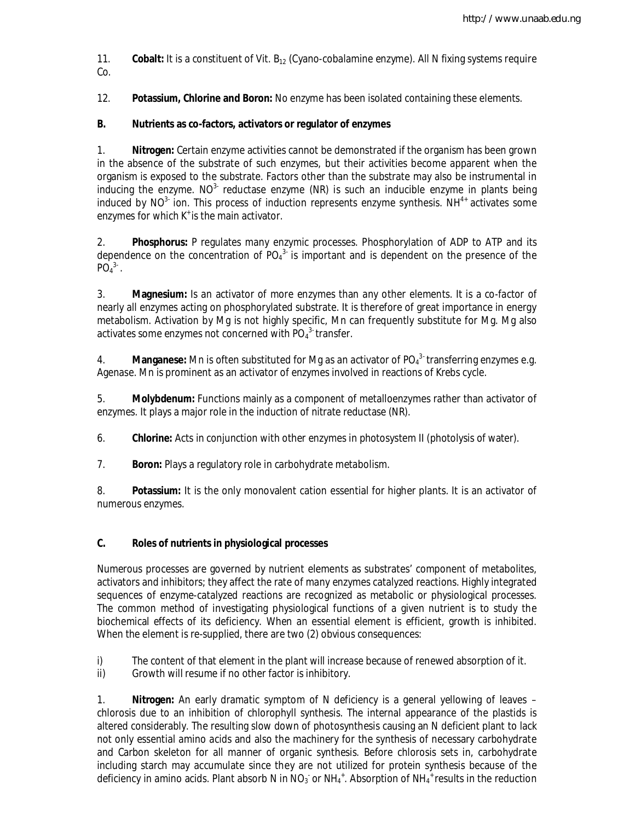11. **Cobalt:** It is a constituent of Vit. B<sub>12</sub> (Cyano-cobalamine enzyme). All N fixing systems require Co.

12. **Potassium, Chlorine and Boron:** No enzyme has been isolated containing these elements.

# **B. Nutrients as co-factors, activators or regulator of enzymes**

1. **Nitrogen:** Certain enzyme activities cannot be demonstrated if the organism has been grown in the absence of the substrate of such enzymes, but their activities become apparent when the organism is exposed to the substrate. Factors other than the substrate may also be instrumental in inducing the enzyme.  $NO<sup>3</sup>$  reductase enzyme (NR) is such an inducible enzyme in plants being induced by NO<sup>3-</sup> ion. This process of induction represents enzyme synthesis. NH<sup>4+</sup> activates some enzymes for which  $K^*$  is the main activator.

2. **Phosphorus:** P regulates many enzymic processes. Phosphorylation of ADP to ATP and its dependence on the concentration of  $PO<sub>4</sub><sup>3</sup>$  is important and is dependent on the presence of the  $PO<sub>4</sub><sup>3</sup>$ .

3. **Magnesium:** Is an activator of more enzymes than any other elements. It is a co-factor of nearly all enzymes acting on phosphorylated substrate. It is therefore of great importance in energy metabolism. Activation by Mg is not highly specific, Mn can frequently substitute for Mg. Mg also activates some enzymes not concerned with  $PO_4^3$  transfer.

4. **Manganese:** Mn is often substituted for Mg as an activator of PO<sub>4</sub><sup>3-</sup> transferring enzymes e.g. Agenase. Mn is prominent as an activator of enzymes involved in reactions of Krebs cycle.

5. **Molybdenum:** Functions mainly as a component of metalloenzymes rather than activator of enzymes. It plays a major role in the induction of nitrate reductase (NR).

6. **Chlorine:** Acts in conjunction with other enzymes in photosystem II (photolysis of water).

7. **Boron:** Plays a regulatory role in carbohydrate metabolism.

8. **Potassium:** It is the only monovalent cation essential for higher plants. It is an activator of numerous enzymes.

## **C. Roles of nutrients in physiological processes**

Numerous processes are governed by nutrient elements as substrates' component of metabolites, activators and inhibitors; they affect the rate of many enzymes catalyzed reactions. Highly integrated sequences of enzyme-catalyzed reactions are recognized as metabolic or physiological processes. The common method of investigating physiological functions of a given nutrient is to study the biochemical effects of its deficiency. When an essential element is efficient, growth is inhibited. When the element is re-supplied, there are two (2) obvious consequences:

- i) The content of that element in the plant will increase because of renewed absorption of it.<br>ii) Growth will resume if no other factor is inhibitory.
- Growth will resume if no other factor is inhibitory.

1. **Nitrogen:** An early dramatic symptom of N deficiency is a general yellowing of leaves – chlorosis due to an inhibition of chlorophyll synthesis. The internal appearance of the plastids is altered considerably. The resulting slow down of photosynthesis causing an N deficient plant to lack not only essential amino acids and also the machinery for the synthesis of necessary carbohydrate and Carbon skeleton for all manner of organic synthesis. Before chlorosis sets in, carbohydrate including starch may accumulate since they are not utilized for protein synthesis because of the deficiency in amino acids. Plant absorb N in NO<sub>3</sub> or NH<sub>4</sub><sup>+</sup>. Absorption of NH<sub>4</sub><sup>+</sup> results in the reduction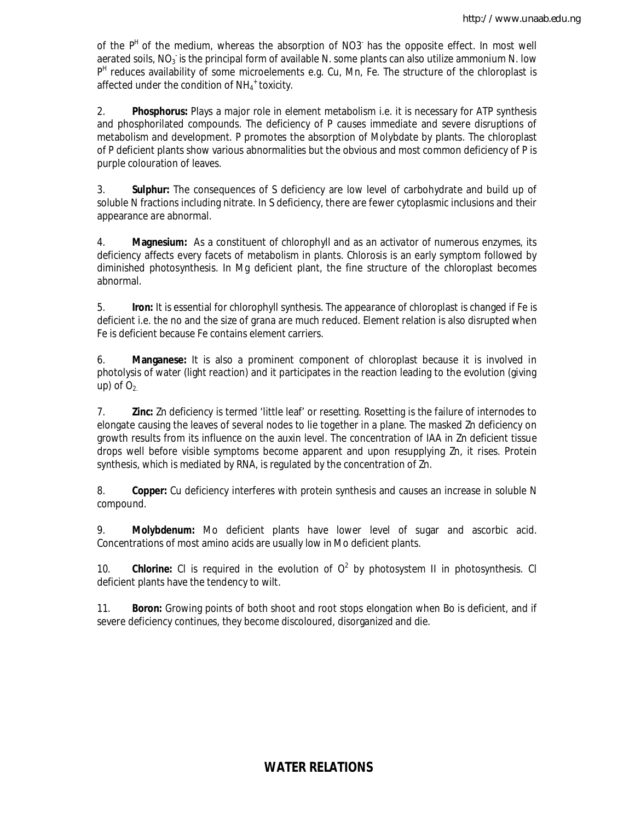of the P<sup>H</sup> of the medium, whereas the absorption of NO3<sup>-</sup> has the opposite effect. In most well aerated soils, NO<sub>3</sub> is the principal form of available N. some plants can also utilize ammonium N. low P<sup>H</sup> reduces availability of some microelements e.g. Cu, Mn, Fe. The structure of the chloroplast is affected under the condition of  $NH_4$ <sup>+</sup> toxicity.

2. **Phosphorus:** Plays a major role in element metabolism i.e. it is necessary for ATP synthesis and phosphorilated compounds. The deficiency of P causes immediate and severe disruptions of metabolism and development. P promotes the absorption of Molybdate by plants. The chloroplast of P deficient plants show various abnormalities but the obvious and most common deficiency of P is purple colouration of leaves.

3. **Sulphur:** The consequences of S deficiency are low level of carbohydrate and build up of soluble N fractions including nitrate. In S deficiency, there are fewer cytoplasmic inclusions and their appearance are abnormal.

4. **Magnesium:** As a constituent of chlorophyll and as an activator of numerous enzymes, its deficiency affects every facets of metabolism in plants. Chlorosis is an early symptom followed by diminished photosynthesis. In Mg deficient plant, the fine structure of the chloroplast becomes abnormal.

5. **Iron:** It is essential for chlorophyll synthesis. The appearance of chloroplast is changed if Fe is deficient i.e. the no and the size of grana are much reduced. Element relation is also disrupted when Fe is deficient because Fe contains element carriers.

6. **Manganese:** It is also a prominent component of chloroplast because it is involved in photolysis of water (light reaction) and it participates in the reaction leading to the evolution (giving up) of  $O<sub>2</sub>$ .

7. **Zinc:** Zn deficiency is termed 'little leaf' or resetting. Rosetting is the failure of internodes to elongate causing the leaves of several nodes to lie together in a plane. The masked Zn deficiency on growth results from its influence on the auxin level. The concentration of IAA in Zn deficient tissue drops well before visible symptoms become apparent and upon resupplying Zn, it rises. Protein synthesis, which is mediated by RNA, is regulated by the concentration of Zn.

8. **Copper:** Cu deficiency interferes with protein synthesis and causes an increase in soluble N compound.

9. **Molybdenum:** Mo deficient plants have lower level of sugar and ascorbic acid. Concentrations of most amino acids are usually low in Mo deficient plants.

10. **Chlorine:** CI is required in the evolution of  $O^2$  by photosystem II in photosynthesis. CI deficient plants have the tendency to wilt.

11. **Boron:** Growing points of both shoot and root stops elongation when Bo is deficient, and if severe deficiency continues, they become discoloured, disorganized and die.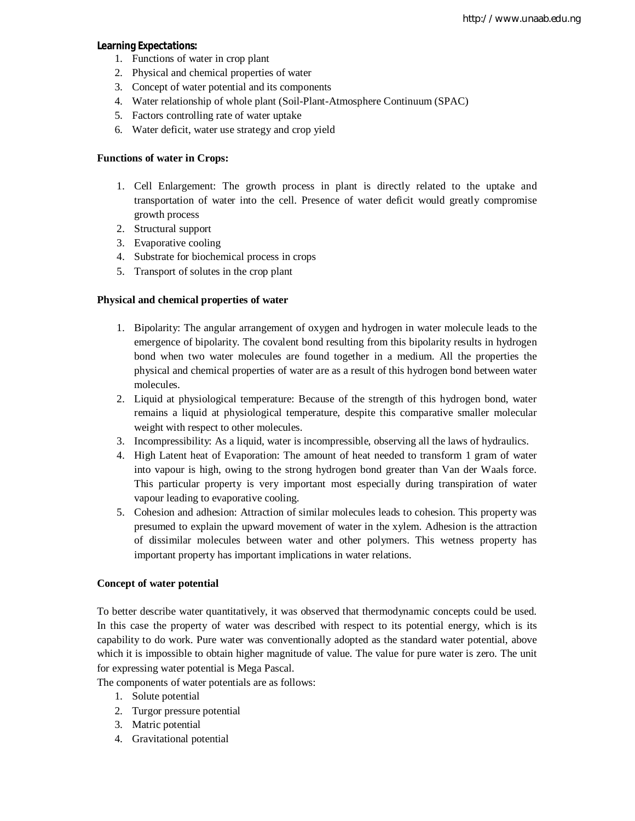## **Learning Expectations:**

- 1. Functions of water in crop plant
- 2. Physical and chemical properties of water
- 3. Concept of water potential and its components
- 4. Water relationship of whole plant (Soil-Plant-Atmosphere Continuum (SPAC)
- 5. Factors controlling rate of water uptake
- 6. Water deficit, water use strategy and crop yield

### **Functions of water in Crops:**

- 1. Cell Enlargement: The growth process in plant is directly related to the uptake and transportation of water into the cell. Presence of water deficit would greatly compromise growth process
- 2. Structural support
- 3. Evaporative cooling
- 4. Substrate for biochemical process in crops
- 5. Transport of solutes in the crop plant

## **Physical and chemical properties of water**

- 1. Bipolarity: The angular arrangement of oxygen and hydrogen in water molecule leads to the emergence of bipolarity. The covalent bond resulting from this bipolarity results in hydrogen bond when two water molecules are found together in a medium. All the properties the physical and chemical properties of water are as a result of this hydrogen bond between water molecules.
- 2. Liquid at physiological temperature: Because of the strength of this hydrogen bond, water remains a liquid at physiological temperature, despite this comparative smaller molecular weight with respect to other molecules.
- 3. Incompressibility: As a liquid, water is incompressible, observing all the laws of hydraulics.
- 4. High Latent heat of Evaporation: The amount of heat needed to transform 1 gram of water into vapour is high, owing to the strong hydrogen bond greater than Van der Waals force. This particular property is very important most especially during transpiration of water vapour leading to evaporative cooling.
- 5. Cohesion and adhesion: Attraction of similar molecules leads to cohesion. This property was presumed to explain the upward movement of water in the xylem. Adhesion is the attraction of dissimilar molecules between water and other polymers. This wetness property has important property has important implications in water relations.

### **Concept of water potential**

To better describe water quantitatively, it was observed that thermodynamic concepts could be used. In this case the property of water was described with respect to its potential energy, which is its capability to do work. Pure water was conventionally adopted as the standard water potential, above which it is impossible to obtain higher magnitude of value. The value for pure water is zero. The unit for expressing water potential is Mega Pascal.

The components of water potentials are as follows:

- 1. Solute potential
- 2. Turgor pressure potential
- 3. Matric potential
- 4. Gravitational potential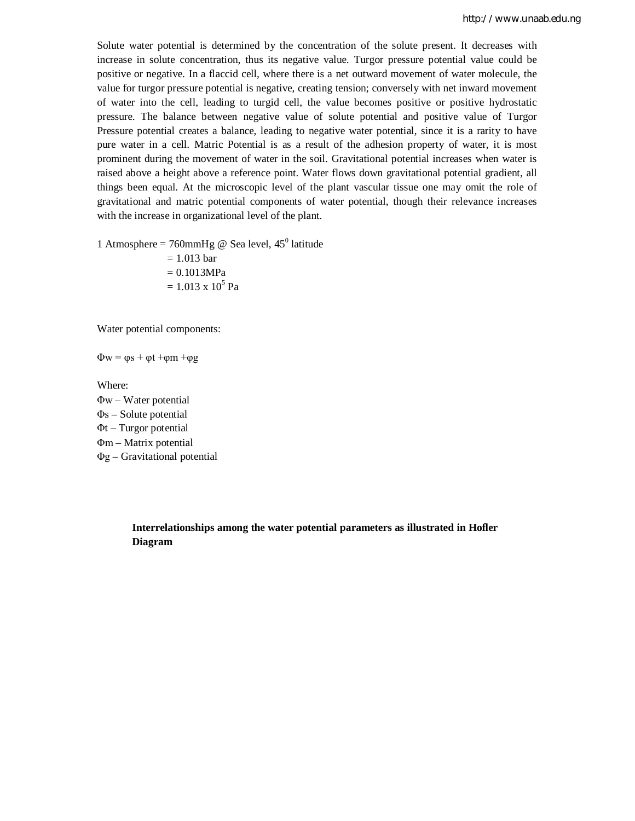Solute water potential is determined by the concentration of the solute present. It decreases with increase in solute concentration, thus its negative value. Turgor pressure potential value could be positive or negative. In a flaccid cell, where there is a net outward movement of water molecule, the value for turgor pressure potential is negative, creating tension; conversely with net inward movement of water into the cell, leading to turgid cell, the value becomes positive or positive hydrostatic pressure. The balance between negative value of solute potential and positive value of Turgor Pressure potential creates a balance, leading to negative water potential, since it is a rarity to have pure water in a cell. Matric Potential is as a result of the adhesion property of water, it is most prominent during the movement of water in the soil. Gravitational potential increases when water is raised above a height above a reference point. Water flows down gravitational potential gradient, all things been equal. At the microscopic level of the plant vascular tissue one may omit the role of gravitational and matric potential components of water potential, though their relevance increases with the increase in organizational level of the plant.

1 Atmosphere = 760mmHg @ Sea level,  $45^{\circ}$  latitude

 $= 1.013$  bar  $= 0.1013 MPa$  $= 1.013 \times 10^5$  Pa

Water potential components:

 $\Phi w = \varphi s + \varphi t + \varphi m + \varphi g$ 

Where:

Φw – Water potential Φs – Solute potential Φt – Turgor potential Φm – Matrix potential Φg – Gravitational potential

> **Interrelationships among the water potential parameters as illustrated in Hofler Diagram**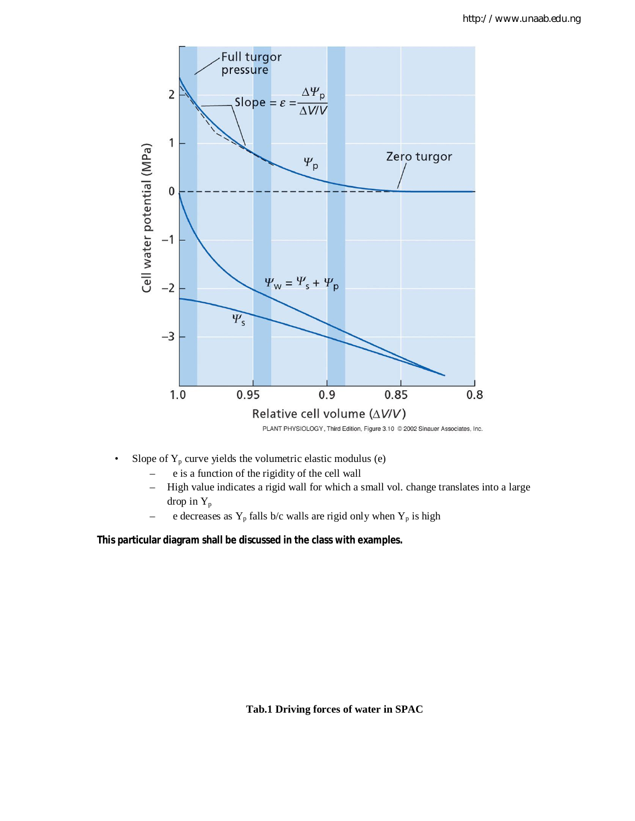

- Slope of  $Y_p$  curve yields the volumetric elastic modulus (e)
	- e is a function of the rigidity of the cell wall
	- High value indicates a rigid wall for which a small vol. change translates into a large drop in  $Y_p$
	- e decreases as  $Y_p$  falls b/c walls are rigid only when  $Y_p$  is high

**This particular diagram shall be discussed in the class with examples.**

**Tab.1 Driving forces of water in SPAC**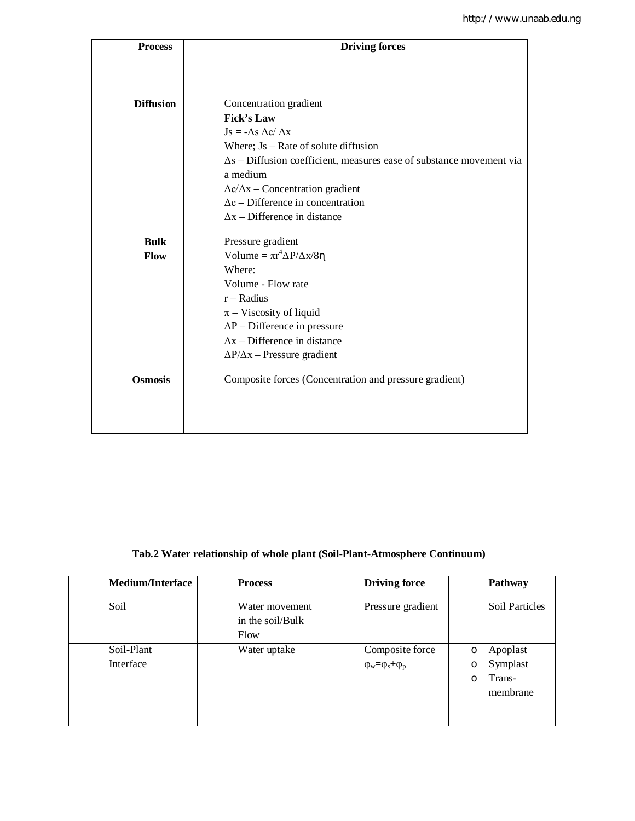| <b>Process</b>   | <b>Driving forces</b>                                                       |  |  |
|------------------|-----------------------------------------------------------------------------|--|--|
|                  |                                                                             |  |  |
|                  |                                                                             |  |  |
| <b>Diffusion</b> | Concentration gradient                                                      |  |  |
|                  | <b>Fick's Law</b>                                                           |  |  |
|                  | $\text{Js} = -\Delta s \Delta c / \Delta x$                                 |  |  |
|                  | Where; $Js - Rate$ of solute diffusion                                      |  |  |
|                  | $\Delta s$ – Diffusion coefficient, measures ease of substance movement via |  |  |
|                  | a medium                                                                    |  |  |
|                  | $\Delta c/\Delta x$ – Concentration gradient                                |  |  |
|                  | $\Delta c$ – Difference in concentration                                    |  |  |
|                  | $\Delta x$ – Difference in distance                                         |  |  |
|                  |                                                                             |  |  |
| <b>Bulk</b>      | Pressure gradient                                                           |  |  |
| Flow             | Volume = $\pi r^4 \Delta P / \Delta x / 8 \eta$                             |  |  |
|                  | Where:                                                                      |  |  |
|                  | Volume - Flow rate                                                          |  |  |
|                  | $r - Radius$                                                                |  |  |
|                  | $\pi$ – Viscosity of liquid                                                 |  |  |
|                  | $\Delta P$ – Difference in pressure<br>$\Delta x$ – Difference in distance  |  |  |
|                  |                                                                             |  |  |
|                  | $\Delta P/\Delta x$ – Pressure gradient                                     |  |  |
| <b>Osmosis</b>   | Composite forces (Concentration and pressure gradient)                      |  |  |
|                  |                                                                             |  |  |
|                  |                                                                             |  |  |
|                  |                                                                             |  |  |

# **Tab.2 Water relationship of whole plant (Soil-Plant-Atmosphere Continuum)**

| <b>Medium/Interface</b> | <b>Process</b>                             | <b>Driving force</b>                                   | Pathway                                                         |
|-------------------------|--------------------------------------------|--------------------------------------------------------|-----------------------------------------------------------------|
| Soil                    | Water movement<br>in the soil/Bulk<br>Flow | Pressure gradient                                      | Soil Particles                                                  |
| Soil-Plant<br>Interface | Water uptake                               | Composite force<br>$\varphi_w = \varphi_s + \varphi_p$ | Apoplast<br>$\circ$<br>Symplast<br>O<br>Trans-<br>O<br>membrane |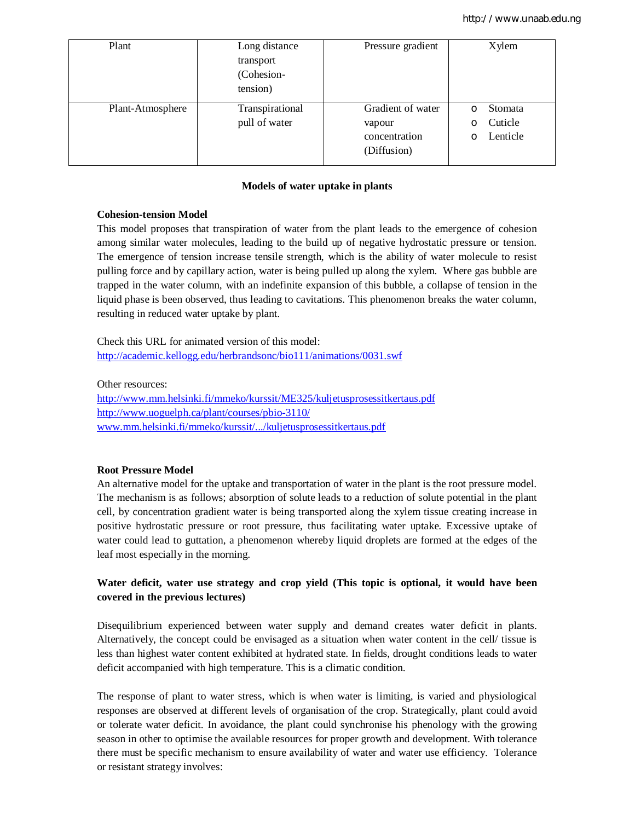| Plant            | Long distance   | Pressure gradient | Xylem         |
|------------------|-----------------|-------------------|---------------|
|                  | transport       |                   |               |
|                  | (Cohesion-      |                   |               |
|                  | tension)        |                   |               |
| Plant-Atmosphere | Transpirational | Gradient of water | Stomata<br>O  |
|                  | pull of water   | vapour            | Cuticle<br>O  |
|                  |                 | concentration     | Lenticle<br>O |
|                  |                 | (Diffusion)       |               |
|                  |                 |                   |               |

### **Models of water uptake in plants**

## **Cohesion-tension Model**

This model proposes that transpiration of water from the plant leads to the emergence of cohesion among similar water molecules, leading to the build up of negative hydrostatic pressure or tension. The emergence of tension increase tensile strength, which is the ability of water molecule to resist pulling force and by capillary action, water is being pulled up along the xylem. Where gas bubble are trapped in the water column, with an indefinite expansion of this bubble, a collapse of tension in the liquid phase is been observed, thus leading to cavitations. This phenomenon breaks the water column, resulting in reduced water uptake by plant.

Check this URL for animated version of this model: http://academic.kellogg.edu/herbrandsonc/bio111/animations/0031.swf

Other resources:

http://www.mm.helsinki.fi/mmeko/kurssit/ME325/kuljetusprosessitkertaus.pdf http://www.uoguelph.ca/plant/courses/pbio-3110/ www.mm.helsinki.fi/mmeko/kurssit/.../kuljetusprosessitkertaus.pdf

### **Root Pressure Model**

An alternative model for the uptake and transportation of water in the plant is the root pressure model. The mechanism is as follows; absorption of solute leads to a reduction of solute potential in the plant cell, by concentration gradient water is being transported along the xylem tissue creating increase in positive hydrostatic pressure or root pressure, thus facilitating water uptake. Excessive uptake of water could lead to guttation, a phenomenon whereby liquid droplets are formed at the edges of the leaf most especially in the morning.

# **Water deficit, water use strategy and crop yield (This topic is optional, it would have been covered in the previous lectures)**

Disequilibrium experienced between water supply and demand creates water deficit in plants. Alternatively, the concept could be envisaged as a situation when water content in the cell/ tissue is less than highest water content exhibited at hydrated state. In fields, drought conditions leads to water deficit accompanied with high temperature. This is a climatic condition.

The response of plant to water stress, which is when water is limiting, is varied and physiological responses are observed at different levels of organisation of the crop. Strategically, plant could avoid or tolerate water deficit. In avoidance, the plant could synchronise his phenology with the growing season in other to optimise the available resources for proper growth and development. With tolerance there must be specific mechanism to ensure availability of water and water use efficiency. Tolerance or resistant strategy involves: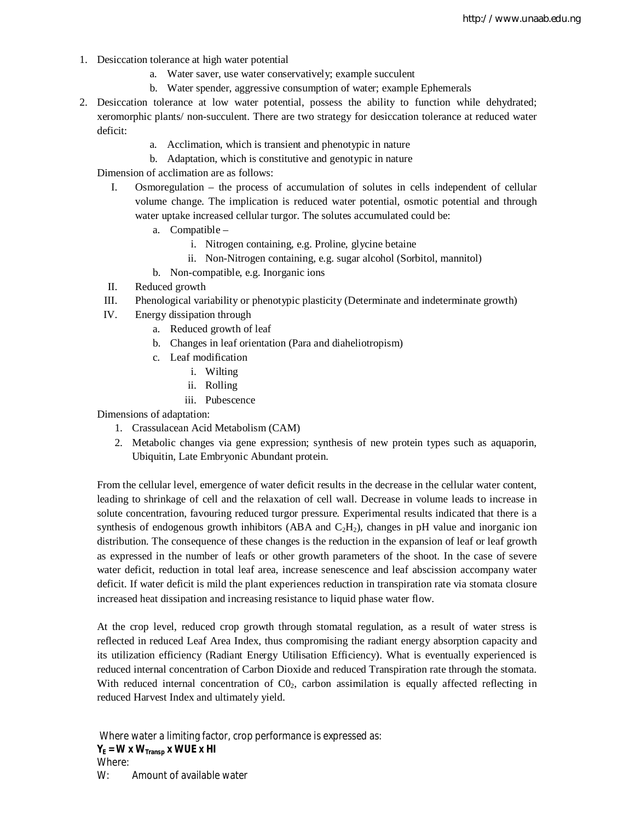- 1. Desiccation tolerance at high water potential
	- a. Water saver, use water conservatively; example succulent
	- b. Water spender, aggressive consumption of water; example Ephemerals
- 2. Desiccation tolerance at low water potential, possess the ability to function while dehydrated; xeromorphic plants/ non-succulent. There are two strategy for desiccation tolerance at reduced water deficit:
	- a. Acclimation, which is transient and phenotypic in nature
	- b. Adaptation, which is constitutive and genotypic in nature

Dimension of acclimation are as follows:

- I. Osmoregulation the process of accumulation of solutes in cells independent of cellular volume change. The implication is reduced water potential, osmotic potential and through water uptake increased cellular turgor. The solutes accumulated could be:
	- a. Compatible
		- i. Nitrogen containing, e.g. Proline, glycine betaine
		- ii. Non-Nitrogen containing, e.g. sugar alcohol (Sorbitol, mannitol)
	- b. Non-compatible, e.g. Inorganic ions
- II. Reduced growth
- III. Phenological variability or phenotypic plasticity (Determinate and indeterminate growth)
- IV. Energy dissipation through
	- a. Reduced growth of leaf
	- b. Changes in leaf orientation (Para and diaheliotropism)
	- c. Leaf modification
		- i. Wilting
		- ii. Rolling
		- iii. Pubescence

Dimensions of adaptation:

- 1. Crassulacean Acid Metabolism (CAM)
- 2. Metabolic changes via gene expression; synthesis of new protein types such as aquaporin, Ubiquitin, Late Embryonic Abundant protein.

From the cellular level, emergence of water deficit results in the decrease in the cellular water content, leading to shrinkage of cell and the relaxation of cell wall. Decrease in volume leads to increase in solute concentration, favouring reduced turgor pressure. Experimental results indicated that there is a synthesis of endogenous growth inhibitors (ABA and  $C_2H_2$ ), changes in pH value and inorganic ion distribution. The consequence of these changes is the reduction in the expansion of leaf or leaf growth as expressed in the number of leafs or other growth parameters of the shoot. In the case of severe water deficit, reduction in total leaf area, increase senescence and leaf abscission accompany water deficit. If water deficit is mild the plant experiences reduction in transpiration rate via stomata closure increased heat dissipation and increasing resistance to liquid phase water flow.

At the crop level, reduced crop growth through stomatal regulation, as a result of water stress is reflected in reduced Leaf Area Index, thus compromising the radiant energy absorption capacity and its utilization efficiency (Radiant Energy Utilisation Efficiency). What is eventually experienced is reduced internal concentration of Carbon Dioxide and reduced Transpiration rate through the stomata. With reduced internal concentration of  $CO<sub>2</sub>$ , carbon assimilation is equally affected reflecting in reduced Harvest Index and ultimately yield.

Where water a limiting factor, crop performance is expressed as:  $Y_E = W \times W_{Transp} \times WUE \times HI$ Where: W: Amount of available water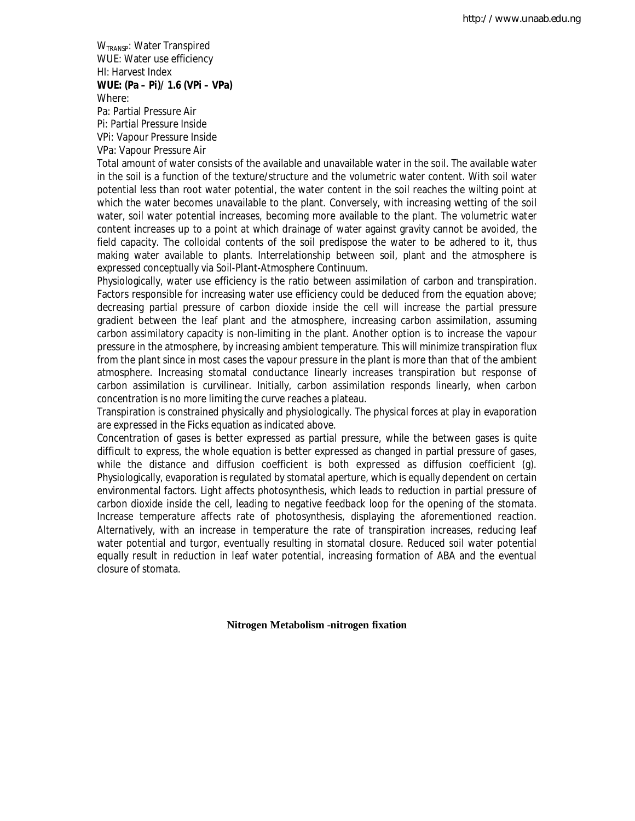W<sub>TRANSP</sub>: Water Transpired WUE: Water use efficiency HI: Harvest Index **WUE: (Pa – Pi)/ 1.6 (VPi – VPa)** Where:

Pa: Partial Pressure Air Pi: Partial Pressure Inside VPi: Vapour Pressure Inside VPa: Vapour Pressure Air

Total amount of water consists of the available and unavailable water in the soil. The available water in the soil is a function of the texture/structure and the volumetric water content. With soil water potential less than root water potential, the water content in the soil reaches the wilting point at which the water becomes unavailable to the plant. Conversely, with increasing wetting of the soil water, soil water potential increases, becoming more available to the plant. The volumetric water content increases up to a point at which drainage of water against gravity cannot be avoided, the field capacity. The colloidal contents of the soil predispose the water to be adhered to it, thus making water available to plants. Interrelationship between soil, plant and the atmosphere is expressed conceptually via Soil-Plant-Atmosphere Continuum.

Physiologically, water use efficiency is the ratio between assimilation of carbon and transpiration. Factors responsible for increasing water use efficiency could be deduced from the equation above; decreasing partial pressure of carbon dioxide inside the cell will increase the partial pressure gradient between the leaf plant and the atmosphere, increasing carbon assimilation, assuming carbon assimilatory capacity is non-limiting in the plant. Another option is to increase the vapour pressure in the atmosphere, by increasing ambient temperature. This will minimize transpiration flux from the plant since in most cases the vapour pressure in the plant is more than that of the ambient atmosphere. Increasing stomatal conductance linearly increases transpiration but response of carbon assimilation is curvilinear. Initially, carbon assimilation responds linearly, when carbon concentration is no more limiting the curve reaches a plateau.

Transpiration is constrained physically and physiologically. The physical forces at play in evaporation are expressed in the Ficks equation as indicated above.

Concentration of gases is better expressed as partial pressure, while the between gases is quite difficult to express, the whole equation is better expressed as changed in partial pressure of gases, while the distance and diffusion coefficient is both expressed as diffusion coefficient (g). Physiologically, evaporation is regulated by stomatal aperture, which is equally dependent on certain environmental factors. Light affects photosynthesis, which leads to reduction in partial pressure of carbon dioxide inside the cell, leading to negative feedback loop for the opening of the stomata. Increase temperature affects rate of photosynthesis, displaying the aforementioned reaction. Alternatively, with an increase in temperature the rate of transpiration increases, reducing leaf water potential and turgor, eventually resulting in stomatal closure. Reduced soil water potential equally result in reduction in leaf water potential, increasing formation of ABA and the eventual closure of stomata.

**Nitrogen Metabolism -nitrogen fixation**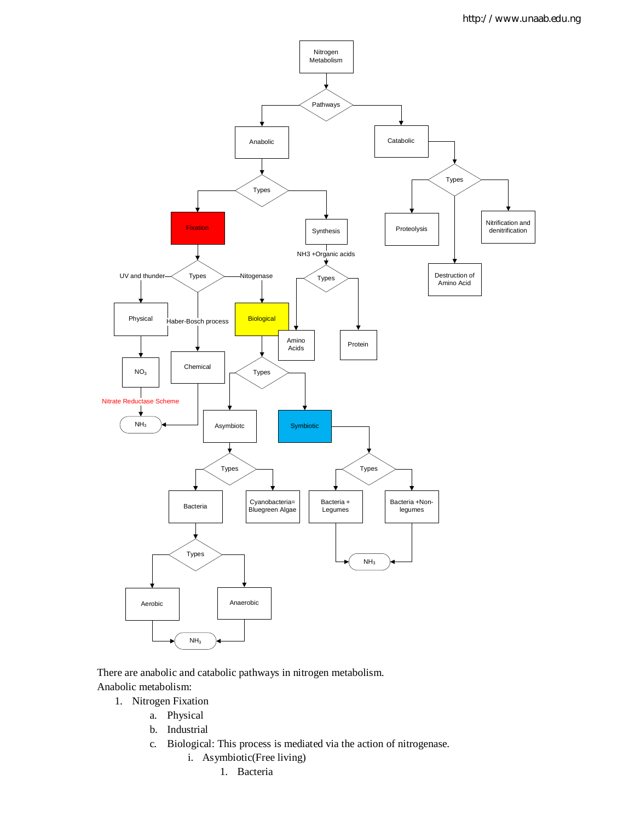

There are anabolic and catabolic pathways in nitrogen metabolism. Anabolic metabolism:

- 1. Nitrogen Fixation
	- a. Physical
		- b. Industrial
		- c. Biological: This process is mediated via the action of nitrogenase.
			- i. Asymbiotic(Free living)
				- 1. Bacteria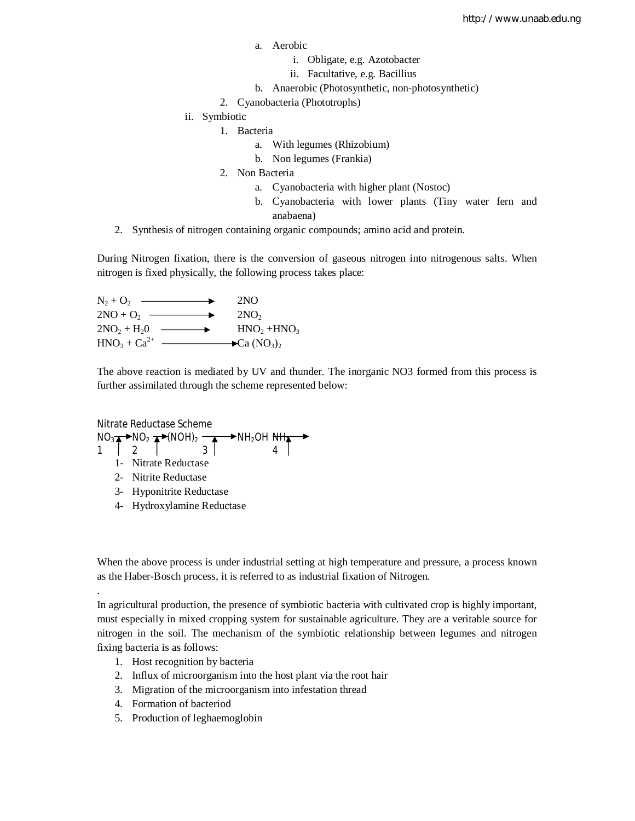- a. Aerobic
	- i. Obligate, e.g. Azotobacter
	- ii. Facultative, e.g. Bacillius
- b. Anaerobic (Photosynthetic, non-photosynthetic)
- 2. Cyanobacteria (Phototrophs)
- ii. Symbiotic
	- 1. Bacteria
		- a. With legumes (Rhizobium)
		- b. Non legumes (Frankia)
	- 2. Non Bacteria
		- a. Cyanobacteria with higher plant (Nostoc)
		- b. Cyanobacteria with lower plants (Tiny water fern and anabaena)
- 2. Synthesis of nitrogen containing organic compounds; amino acid and protein.

During Nitrogen fixation, there is the conversion of gaseous nitrogen into nitrogenous salts. When nitrogen is fixed physically, the following process takes place:

 $N_2 + O_2$  2NO  $2NO + O_2$  2NO<sub>2</sub>  $2NO<sub>2</sub> + H<sub>2</sub>O$   $\longrightarrow$   $HNO<sub>2</sub> + HNO<sub>3</sub>$  $HNO<sub>3</sub> + Ca<sup>2+</sup>$   $\longrightarrow$  Ca  $(NO<sub>3</sub>)<sub>2</sub>$ 

The above reaction is mediated by UV and thunder. The inorganic NO3 formed from this process is further assimilated through the scheme represented below:

Nitrate Reductase Scheme NO<sup>3</sup> NO<sup>2</sup> (NOH)<sup>2</sup> NH2OH NH<sup>3</sup> 1 2 3 4

- 1- Nitrate Reductase
- 2- Nitrite Reductase

.

- 3- Hyponitrite Reductase
- 4- Hydroxylamine Reductase

When the above process is under industrial setting at high temperature and pressure, a process known as the Haber-Bosch process, it is referred to as industrial fixation of Nitrogen.

In agricultural production, the presence of symbiotic bacteria with cultivated crop is highly important, must especially in mixed cropping system for sustainable agriculture. They are a veritable source for nitrogen in the soil. The mechanism of the symbiotic relationship between legumes and nitrogen fixing bacteria is as follows:

- 1. Host recognition by bacteria
- 2. Influx of microorganism into the host plant via the root hair
- 3. Migration of the microorganism into infestation thread
- 4. Formation of bacteriod
- 5. Production of leghaemoglobin